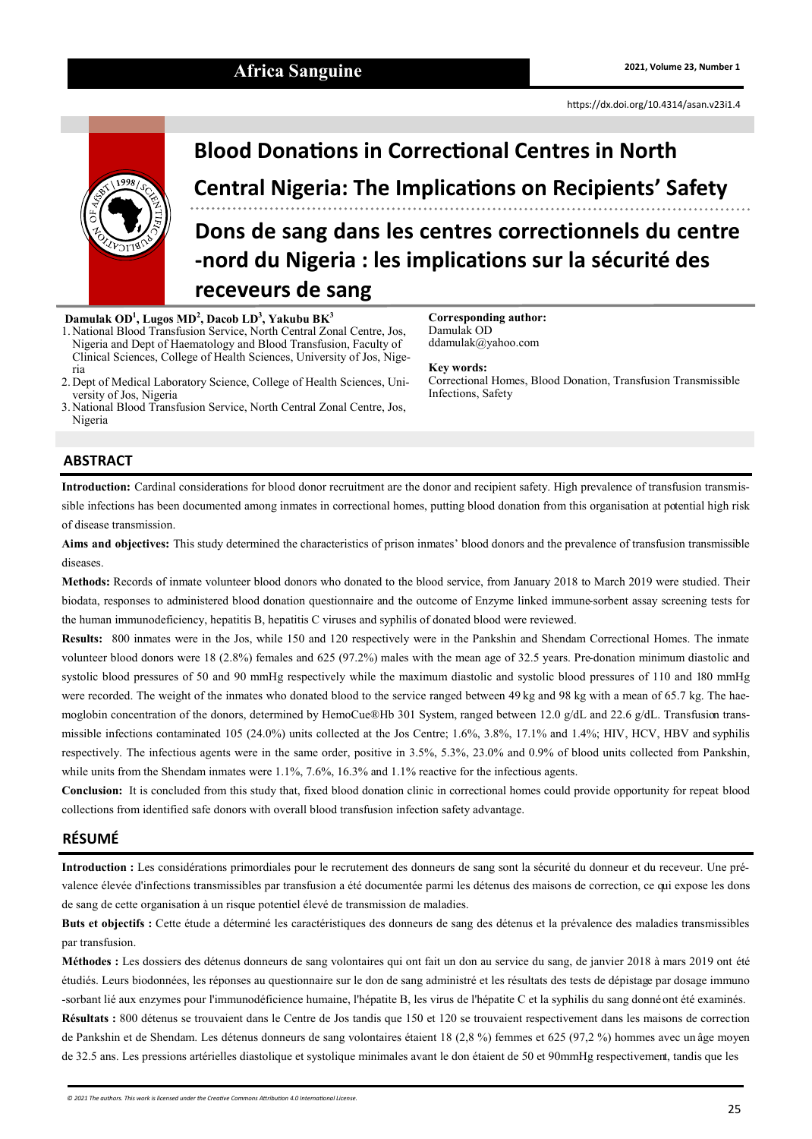# Africa Sanguine **2021, Volume 23, Number 1 2021**, Volume 23, Number 1

<https://dx.doi.org/10.4314/asan.v23i1.4>



# **Blood Donations in Correctional Centres in North Central Nigeria: The Implications on Recipients' Safety Dons de sang dans les centres correctionnels du centre**

**-nord du Nigeria : les implications sur la sécurité des receveurs de sang**

Damulak OD

**Key words:** 

Infections, Safety

**Corresponding author:**

ddamulak@yahoo.com

Correctional Homes, Blood Donation, Transfusion Transmissible

#### **Damulak OD<sup>1</sup> , Lugos MD<sup>2</sup> , Dacob LD<sup>3</sup> , Yakubu BK<sup>3</sup>**

1. National Blood Transfusion Service, North Central Zonal Centre, Jos, Nigeria and Dept of Haematology and Blood Transfusion, Faculty of Clinical Sciences, College of Health Sciences, University of Jos, Nigeria

2. Dept of Medical Laboratory Science, College of Health Sciences, University of Jos, Nigeria

3. National Blood Transfusion Service, North Central Zonal Centre, Jos, Nigeria

### **ABSTRACT**

**Introduction:** Cardinal considerations for blood donor recruitment are the donor and recipient safety. High prevalence of transfusion transmissible infections has been documented among inmates in correctional homes, putting blood donation from this organisation at potential high risk of disease transmission.

**Aims and objectives:** This study determined the characteristics of prison inmates' blood donors and the prevalence of transfusion transmissible diseases.

**Methods:** Records of inmate volunteer blood donors who donated to the blood service, from January 2018 to March 2019 were studied. Their biodata, responses to administered blood donation questionnaire and the outcome of Enzyme linked immune-sorbent assay screening tests for the human immunodeficiency, hepatitis B, hepatitis C viruses and syphilis of donated blood were reviewed.

**Results:** 800 inmates were in the Jos, while 150 and 120 respectively were in the Pankshin and Shendam Correctional Homes. The inmate volunteer blood donors were 18 (2.8%) females and 625 (97.2%) males with the mean age of 32.5 years. Pre-donation minimum diastolic and systolic blood pressures of 50 and 90 mmHg respectively while the maximum diastolic and systolic blood pressures of 110 and 180 mmHg were recorded. The weight of the inmates who donated blood to the service ranged between 49 kg and 98 kg with a mean of 65.7 kg. The haemoglobin concentration of the donors, determined by HemoCue®Hb 301 System, ranged between 12.0 g/dL and 22.6 g/dL. Transfusion transmissible infections contaminated 105 (24.0%) units collected at the Jos Centre; 1.6%, 3.8%, 17.1% and 1.4%; HIV, HCV, HBV and syphilis respectively. The infectious agents were in the same order, positive in 3.5%, 5.3%, 23.0% and 0.9% of blood units collected from Pankshin, while units from the Shendam inmates were 1.1%, 7.6%, 16.3% and 1.1% reactive for the infectious agents.

**Conclusion:** It is concluded from this study that, fixed blood donation clinic in correctional homes could provide opportunity for repeat blood collections from identified safe donors with overall blood transfusion infection safety advantage.

#### **RÉSUMÉ**

**Introduction :** Les considérations primordiales pour le recrutement des donneurs de sang sont la sécurité du donneur et du receveur. Une prévalence élevée d'infections transmissibles par transfusion a été documentée parmi les détenus des maisons de correction, ce qui expose les dons de sang de cette organisation à un risque potentiel élevé de transmission de maladies.

**Buts et objectifs :** Cette étude a déterminé les caractéristiques des donneurs de sang des détenus et la prévalence des maladies transmissibles par transfusion.

**Méthodes :** Les dossiers des détenus donneurs de sang volontaires qui ont fait un don au service du sang, de janvier 2018 à mars 2019 ont été étudiés. Leurs biodonnées, les réponses au questionnaire sur le don de sang administré et les résultats des tests de dépistage par dosage immuno -sorbant lié aux enzymes pour l'immunodéficience humaine, l'hépatite B, les virus de l'hépatite C et la syphilis du sang donnéont été examinés. **Résultats :** 800 détenus se trouvaient dans le Centre de Jos tandis que 150 et 120 se trouvaient respectivement dans les maisons de correction de Pankshin et de Shendam. Les détenus donneurs de sang volontaires étaient 18 (2,8 %) femmes et 625 (97,2 %) hommes avec un âge moyen de 32.5 ans. Les pressions artérielles diastolique et systolique minimales avant le don étaient de 50 et 90mmHg respectivement, tandis que les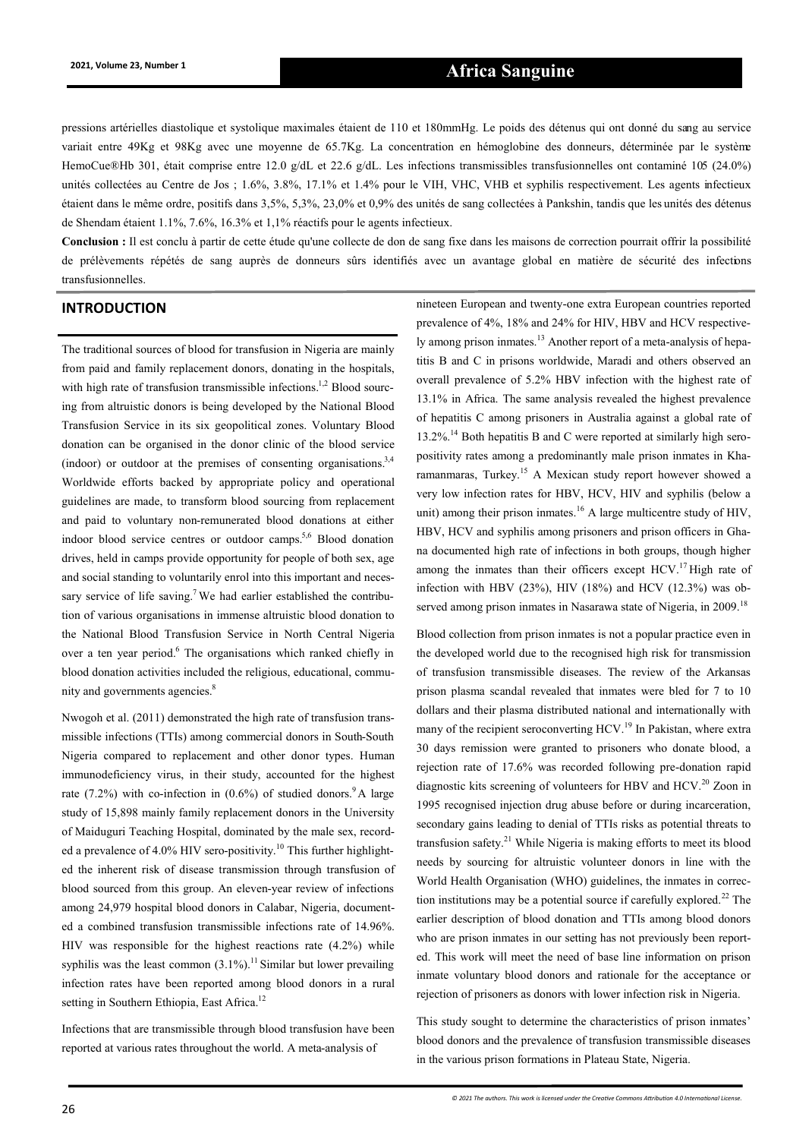## **2021, Volume 23, Number 1 Africa Sanguine**

pressions artérielles diastolique et systolique maximales étaient de 110 et 180mmHg. Le poids des détenus qui ont donné du sang au service variait entre 49Kg et 98Kg avec une moyenne de 65.7Kg. La concentration en hémoglobine des donneurs, déterminée par le système HemoCue®Hb 301, était comprise entre 12.0 g/dL et 22.6 g/dL. Les infections transmissibles transfusionnelles ont contaminé 105 (24.0%) unités collectées au Centre de Jos ; 1.6%, 3.8%, 17.1% et 1.4% pour le VIH, VHC, VHB et syphilis respectivement. Les agents infectieux étaient dans le même ordre, positifs dans 3,5%, 5,3%, 23,0% et 0,9% des unités de sang collectées à Pankshin, tandis que les unités des détenus de Shendam étaient 1.1%, 7.6%, 16.3% et 1,1% réactifs pour le agents infectieux.

**Conclusion :** Il est conclu à partir de cette étude qu'une collecte de don de sang fixe dans les maisons de correction pourrait offrir la possibilité de prélèvements répétés de sang auprès de donneurs sûrs identifiés avec un avantage global en matière de sécurité des infections transfusionnelles.

The traditional sources of blood for transfusion in Nigeria are mainly from paid and family replacement donors, donating in the hospitals, with high rate of transfusion transmissible infections.<sup>1,2</sup> Blood sourcing from altruistic donors is being developed by the National Blood Transfusion Service in its six geopolitical zones. Voluntary Blood donation can be organised in the donor clinic of the blood service (indoor) or outdoor at the premises of consenting organisations.<sup>3,4</sup> Worldwide efforts backed by appropriate policy and operational guidelines are made, to transform blood sourcing from replacement and paid to voluntary non-remunerated blood donations at either indoor blood service centres or outdoor camps.<sup>5,6</sup> Blood donation drives, held in camps provide opportunity for people of both sex, age and social standing to voluntarily enrol into this important and necessary service of life saving.<sup>7</sup> We had earlier established the contribution of various organisations in immense altruistic blood donation to the National Blood Transfusion Service in North Central Nigeria over a ten year period.<sup>6</sup> The organisations which ranked chiefly in blood donation activities included the religious, educational, community and governments agencies.<sup>8</sup>

Nwogoh et al. (2011) demonstrated the high rate of transfusion transmissible infections (TTIs) among commercial donors in South-South Nigeria compared to replacement and other donor types. Human immunodeficiency virus, in their study, accounted for the highest rate (7.2%) with co-infection in  $(0.6%)$  of studied donors.<sup>9</sup>A large study of 15,898 mainly family replacement donors in the University of Maiduguri Teaching Hospital, dominated by the male sex, recorded a prevalence of 4.0% HIV sero-positivity.<sup>10</sup> This further highlighted the inherent risk of disease transmission through transfusion of blood sourced from this group. An eleven-year review of infections among 24,979 hospital blood donors in Calabar, Nigeria, documented a combined transfusion transmissible infections rate of 14.96%. HIV was responsible for the highest reactions rate (4.2%) while syphilis was the least common  $(3.1\%)$ .<sup>11</sup> Similar but lower prevailing infection rates have been reported among blood donors in a rural setting in Southern Ethiopia, East Africa.<sup>12</sup>

Infections that are transmissible through blood transfusion have been reported at various rates throughout the world. A meta-analysis of

**INTRODUCTION** nineteen European and twenty-one extra European countries reported prevalence of 4%, 18% and 24% for HIV, HBV and HCV respectively among prison inmates.<sup>13</sup> Another report of a meta-analysis of hepatitis B and C in prisons worldwide, Maradi and others observed an overall prevalence of 5.2% HBV infection with the highest rate of 13.1% in Africa. The same analysis revealed the highest prevalence of hepatitis C among prisoners in Australia against a global rate of 13.2%.<sup>14</sup> Both hepatitis B and C were reported at similarly high seropositivity rates among a predominantly male prison inmates in Kharamanmaras, Turkey.<sup>15</sup> A Mexican study report however showed a very low infection rates for HBV, HCV, HIV and syphilis (below a unit) among their prison inmates.<sup>16</sup> A large multicentre study of HIV, HBV, HCV and syphilis among prisoners and prison officers in Ghana documented high rate of infections in both groups, though higher among the inmates than their officers except  $HCV<sup>17</sup>$  High rate of infection with HBV (23%), HIV (18%) and HCV (12.3%) was observed among prison inmates in Nasarawa state of Nigeria, in 2009.<sup>18</sup>

> Blood collection from prison inmates is not a popular practice even in the developed world due to the recognised high risk for transmission of transfusion transmissible diseases. The review of the Arkansas prison plasma scandal revealed that inmates were bled for 7 to 10 dollars and their plasma distributed national and internationally with many of the recipient seroconverting HCV.<sup>19</sup> In Pakistan, where extra 30 days remission were granted to prisoners who donate blood, a rejection rate of 17.6% was recorded following pre-donation rapid diagnostic kits screening of volunteers for HBV and HCV.<sup>20</sup> Zoon in 1995 recognised injection drug abuse before or during incarceration, secondary gains leading to denial of TTIs risks as potential threats to transfusion safety.<sup>21</sup> While Nigeria is making efforts to meet its blood needs by sourcing for altruistic volunteer donors in line with the World Health Organisation (WHO) guidelines, the inmates in correction institutions may be a potential source if carefully explored.<sup>22</sup> The earlier description of blood donation and TTIs among blood donors who are prison inmates in our setting has not previously been reported. This work will meet the need of base line information on prison inmate voluntary blood donors and rationale for the acceptance or rejection of prisoners as donors with lower infection risk in Nigeria.

> This study sought to determine the characteristics of prison inmates' blood donors and the prevalence of transfusion transmissible diseases in the various prison formations in Plateau State, Nigeria.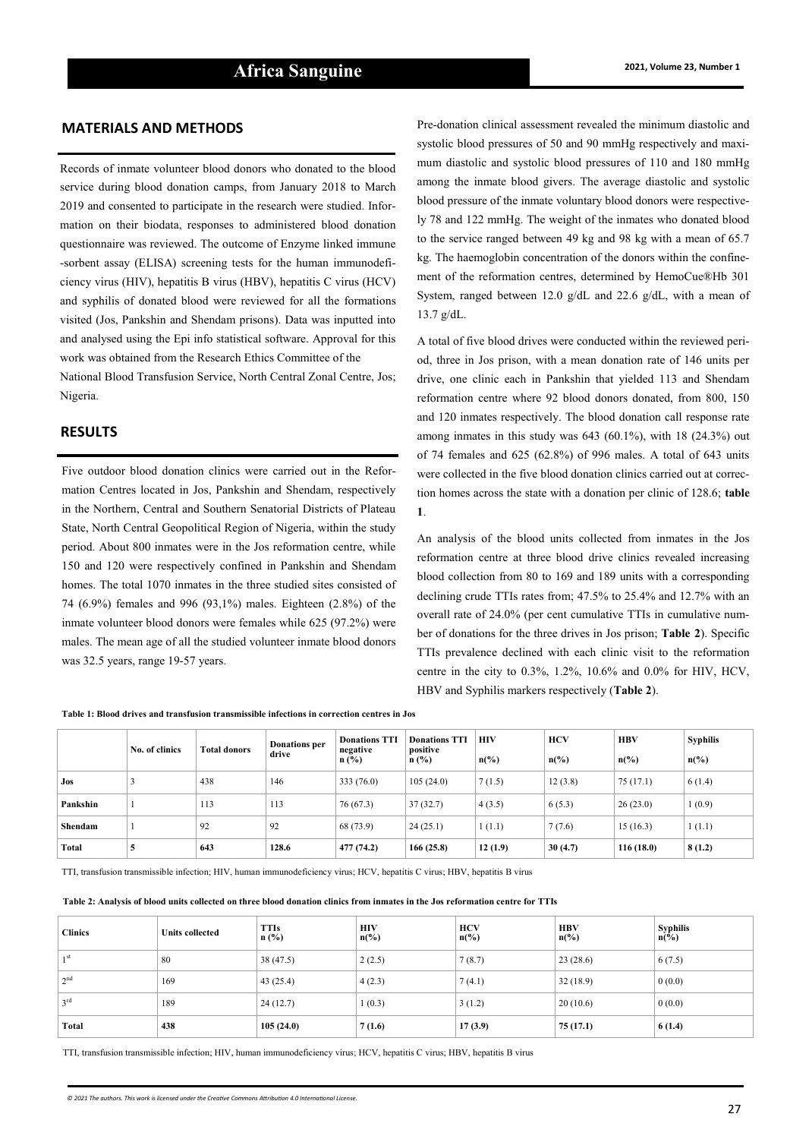#### **MATERIALS AND METHODS**

Records of inmate volunteer blood donors who donated to the blood service during blood donation camps, from January 2018 to March 2019 and consented to participate in the research were studied. Information on their biodata, responses to administered blood donation questionnaire was reviewed. The outcome of Enzyme linked immune -sorbent assay (ELISA) screening tests for the human immunodeficiency virus (HIV), hepatitis B virus (HBV), hepatitis C virus (HCV) and syphilis of donated blood were reviewed for all the formations visited (Jos, Pankshin and Shendam prisons). Data was inputted into and analysed using the Epi info statistical software. Approval for this work was obtained from the Research Ethics Committee of the National Blood Transfusion Service, North Central Zonal Centre, Jos; Nigeria.

#### **RESULTS**

Five outdoor blood donation clinics were carried out in the Reformation Centres located in Jos, Pankshin and Shendam, respectively in the Northern, Central and Southern Senatorial Districts of Plateau State, North Central Geopolitical Region of Nigeria, within the study period. About 800 inmates were in the Jos reformation centre, while 150 and 120 were respectively confined in Pankshin and Shendam homes. The total 1070 inmates in the three studied sites consisted of 74 (6.9%) females and 996 (93,1%) males. Eighteen (2.8%) of the inmate volunteer blood donors were females while 625 (97.2%) were males. The mean age of all the studied volunteer inmate blood donors was 32.5 years, range 19-57 years.

Pre-donation clinical assessment revealed the minimum diastolic and systolic blood pressures of 50 and 90 mmHg respectively and maximum diastolic and systolic blood pressures of 110 and 180 mmHg among the inmate blood givers. The average diastolic and systolic blood pressure of the inmate voluntary blood donors were respectively 78 and 122 mmHg. The weight of the inmates who donated blood to the service ranged between 49 kg and 98 kg with a mean of 65.7 kg. The haemoglobin concentration of the donors within the confinement of the reformation centres, determined by HemoCue®Hb 301 System, ranged between 12.0 g/dL and 22.6 g/dL, with a mean of 13.7 g/dL.

A total of five blood drives were conducted within the reviewed period, three in Jos prison, with a mean donation rate of 146 units per drive, one clinic each in Pankshin that yielded 113 and Shendam reformation centre where 92 blood donors donated, from 800, 150 and 120 inmates respectively. The blood donation call response rate among inmates in this study was 643 (60.1%), with 18 (24.3%) out of 74 females and 625 (62.8%) of 996 males. A total of 643 units were collected in the five blood donation clinics carried out at correction homes across the state with a donation per clinic of 128.6; **table 1**.

An analysis of the blood units collected from inmates in the Jos reformation centre at three blood drive clinics revealed increasing blood collection from 80 to 169 and 189 units with a corresponding declining crude TTIs rates from; 47.5% to 25.4% and 12.7% with an overall rate of 24.0% (per cent cumulative TTIs in cumulative number of donations for the three drives in Jos prison; **Table 2**). Specific TTIs prevalence declined with each clinic visit to the reformation centre in the city to 0.3%, 1.2%, 10.6% and 0.0% for HIV, HCV, HBV and Syphilis markers respectively (**Table 2**).

|          | No. of clinics | <b>Total donors</b> | <b>Donations</b> per<br>drive | <b>Donations TTI</b><br>negative<br>$n$ (%) | <b>Donations TTI</b><br>positive<br>n(%) | <b>HIV</b><br>$n\left(\%\right)$ | <b>HCV</b><br>$n\frac{6}{6}$ | <b>HBV</b><br>$n\binom{0}{0}$ | <b>Syphilis</b><br>$n\frac{6}{6}$ |
|----------|----------------|---------------------|-------------------------------|---------------------------------------------|------------------------------------------|----------------------------------|------------------------------|-------------------------------|-----------------------------------|
| Jos      |                | 438                 | 146                           | 333 (76.0)                                  | 105(24.0)                                | 7(1.5)                           | 12(3.8)                      | 75(17.1)                      | 6(1.4)                            |
| Pankshin |                | 113                 | 113                           | 76 (67.3)                                   | 37(32.7)                                 | 4(3.5)                           | 6(5.3)                       | 26(23.0)                      | 1(0.9)                            |
| Shendam  |                | 92                  | 92                            | 68 (73.9)                                   | 24(25.1)                                 | 1(1.1)                           | 7(7.6)                       | 15(16.3)                      | 1(1.1)                            |
| Total    | 5              | 643                 | 128.6                         | 477 (74.2)                                  | 166(25.8)                                | 12(1.9)                          | 30(4.7)                      | 116(18.0)                     | 8(1.2)                            |

**Table 1: Blood drives and transfusion transmissible infections in correction centres in Jos**

TTI, transfusion transmissible infection; HIV, human immunodeficiency virus; HCV, hepatitis C virus; HBV, hepatitis B virus

| Table 2: Analysis of blood units collected on three blood donation clinics from inmates in the Jos reformation centre for TTIs |  |  |  |
|--------------------------------------------------------------------------------------------------------------------------------|--|--|--|
|--------------------------------------------------------------------------------------------------------------------------------|--|--|--|

| <b>Clinics</b>  | <b>Units collected</b> | <b>TTIs</b><br>$n$ (%) | <b>HIV</b><br>$n\binom{0}{0}$ | <b>HCV</b><br>$n\left(\%\right)$ | <b>HBV</b><br>$n\left(\frac{9}{6}\right)$ | <b>Syphilis</b><br>$n\left(\frac{6}{6}\right)$ |
|-----------------|------------------------|------------------------|-------------------------------|----------------------------------|-------------------------------------------|------------------------------------------------|
| 1 <sub>st</sub> | 80                     | 38 (47.5)              | 2(2.5)                        | 7(8.7)                           | 23(28.6)                                  | 6(7.5)                                         |
| 2 <sup>nd</sup> | 169                    | 43(25.4)               | 4(2.3)                        | 7(4.1)                           | 32(18.9)                                  | 0(0.0)                                         |
| 3 <sup>rd</sup> | 189                    | 24(12.7)               | 1(0.3)                        | 3(1.2)                           | 20(10.6)                                  | 0(0.0)                                         |
| Total           | 438                    | 105(24.0)              | 7(1.6)                        | 17(3.9)                          | 75 (17.1)                                 | 6(1.4)                                         |

TTI, transfusion transmissible infection; HIV, human immunodeficiency virus; HCV, hepatitis C virus; HBV, hepatitis B virus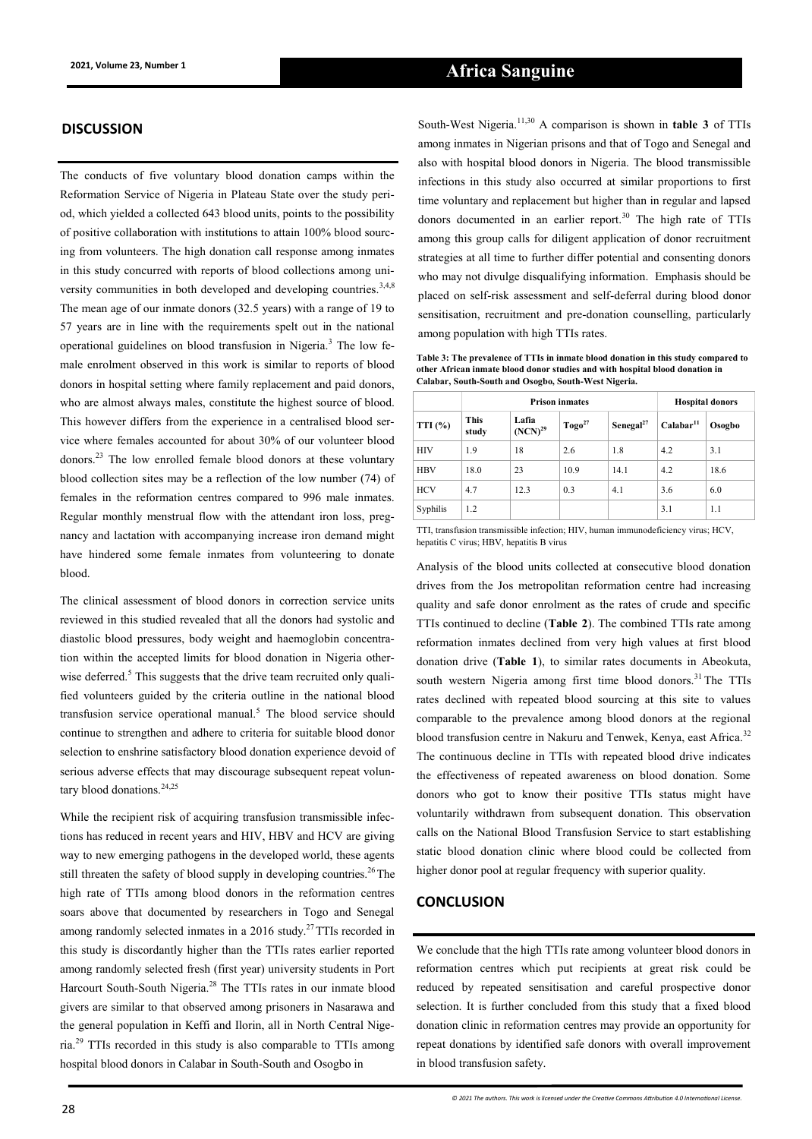#### **DISCUSSION**

The conducts of five voluntary blood donation camps within the Reformation Service of Nigeria in Plateau State over the study period, which yielded a collected 643 blood units, points to the possibility of positive collaboration with institutions to attain 100% blood sourcing from volunteers. The high donation call response among inmates in this study concurred with reports of blood collections among university communities in both developed and developing countries.<sup>3,4,8</sup> The mean age of our inmate donors (32.5 years) with a range of 19 to 57 years are in line with the requirements spelt out in the national operational guidelines on blood transfusion in Nigeria.<sup>3</sup> The low female enrolment observed in this work is similar to reports of blood donors in hospital setting where family replacement and paid donors, who are almost always males, constitute the highest source of blood. This however differs from the experience in a centralised blood service where females accounted for about 30% of our volunteer blood donors.<sup>23</sup> The low enrolled female blood donors at these voluntary blood collection sites may be a reflection of the low number (74) of females in the reformation centres compared to 996 male inmates. Regular monthly menstrual flow with the attendant iron loss, pregnancy and lactation with accompanying increase iron demand might have hindered some female inmates from volunteering to donate blood.

The clinical assessment of blood donors in correction service units reviewed in this studied revealed that all the donors had systolic and diastolic blood pressures, body weight and haemoglobin concentration within the accepted limits for blood donation in Nigeria otherwise deferred.<sup>5</sup> This suggests that the drive team recruited only qualified volunteers guided by the criteria outline in the national blood transfusion service operational manual.<sup>5</sup> The blood service should continue to strengthen and adhere to criteria for suitable blood donor selection to enshrine satisfactory blood donation experience devoid of serious adverse effects that may discourage subsequent repeat voluntary blood donations.<sup>24,25</sup>

While the recipient risk of acquiring transfusion transmissible infections has reduced in recent years and HIV, HBV and HCV are giving way to new emerging pathogens in the developed world, these agents still threaten the safety of blood supply in developing countries.<sup>26</sup> The high rate of TTIs among blood donors in the reformation centres soars above that documented by researchers in Togo and Senegal among randomly selected inmates in a  $2016$  study.<sup>27</sup> TTIs recorded in this study is discordantly higher than the TTIs rates earlier reported among randomly selected fresh (first year) university students in Port Harcourt South-South Nigeria.<sup>28</sup> The TTIs rates in our inmate blood givers are similar to that observed among prisoners in Nasarawa and the general population in Keffi and Ilorin, all in North Central Nigeria.<sup>29</sup> TTIs recorded in this study is also comparable to TTIs among hospital blood donors in Calabar in South-South and Osogbo in

among inmates in Nigerian prisons and that of Togo and Senegal and also with hospital blood donors in Nigeria. The blood transmissible infections in this study also occurred at similar proportions to first time voluntary and replacement but higher than in regular and lapsed donors documented in an earlier report.<sup>30</sup> The high rate of TTIs among this group calls for diligent application of donor recruitment strategies at all time to further differ potential and consenting donors who may not divulge disqualifying information. Emphasis should be

**Calabar, South-South and Osogbo, South-West Nigeria.**

among population with high TTIs rates. **Table 3: The prevalence of TTIs in inmate blood donation in this study compared to other African inmate blood donor studies and with hospital blood donation in** 

placed on self-risk assessment and self-deferral during blood donor sensitisation, recruitment and pre-donation counselling, particularly

South-West Nigeria.11,30 A comparison is shown in **table 3** of TTIs

|            |                      | <b>Prison inmates</b> | <b>Hospital donors</b> |                       |                       |        |
|------------|----------------------|-----------------------|------------------------|-----------------------|-----------------------|--------|
| TTI(%)     | <b>This</b><br>study | Lafia<br>$(NCN)^{29}$ | $Togo^{27}$            | Senegal <sup>27</sup> | Calabar <sup>11</sup> | Osogbo |
| HIV        | 1.9                  | 18                    | 2.6                    | 1.8                   | 4.2                   | 3.1    |
| <b>HBV</b> | 18.0                 | 23                    | 10.9                   | 14.1                  | 4.2                   | 18.6   |
| <b>HCV</b> | 4.7                  | 12.3                  | 0.3                    | 4.1                   | 3.6                   | 6.0    |
| Syphilis   | 1.2                  |                       |                        |                       | 3.1                   | 1.1    |

TTI, transfusion transmissible infection; HIV, human immunodeficiency virus; HCV, hepatitis C virus; HBV, hepatitis B virus

Analysis of the blood units collected at consecutive blood donation drives from the Jos metropolitan reformation centre had increasing quality and safe donor enrolment as the rates of crude and specific TTIs continued to decline (**Table 2**). The combined TTIs rate among reformation inmates declined from very high values at first blood donation drive (**Table 1**), to similar rates documents in Abeokuta, south western Nigeria among first time blood donors.<sup>31</sup>The TTIs rates declined with repeated blood sourcing at this site to values comparable to the prevalence among blood donors at the regional blood transfusion centre in Nakuru and Tenwek, Kenya, east Africa.<sup>32</sup> The continuous decline in TTIs with repeated blood drive indicates the effectiveness of repeated awareness on blood donation. Some donors who got to know their positive TTIs status might have voluntarily withdrawn from subsequent donation. This observation calls on the National Blood Transfusion Service to start establishing static blood donation clinic where blood could be collected from higher donor pool at regular frequency with superior quality.

#### **CONCLUSION**

We conclude that the high TTIs rate among volunteer blood donors in reformation centres which put recipients at great risk could be reduced by repeated sensitisation and careful prospective donor selection. It is further concluded from this study that a fixed blood donation clinic in reformation centres may provide an opportunity for repeat donations by identified safe donors with overall improvement in blood transfusion safety.